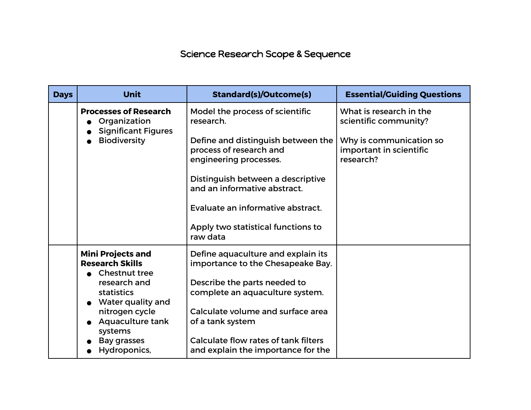## Science Research Scope & Sequence

| <b>Days</b> | <b>Unit</b>                                                                                                                                                                                              | <b>Standard(s)/Outcome(s)</b>                                                                                                                                                                                                                                                                       | <b>Essential/Guiding Questions</b>                                                                                  |
|-------------|----------------------------------------------------------------------------------------------------------------------------------------------------------------------------------------------------------|-----------------------------------------------------------------------------------------------------------------------------------------------------------------------------------------------------------------------------------------------------------------------------------------------------|---------------------------------------------------------------------------------------------------------------------|
|             | <b>Processes of Research</b><br>Organization<br><b>Significant Figures</b><br><b>Biodiversity</b>                                                                                                        | Model the process of scientific<br>research.<br>Define and distinguish between the<br>process of research and<br>engineering processes.<br>Distinguish between a descriptive<br>and an informative abstract.<br>Evaluate an informative abstract.<br>Apply two statistical functions to<br>raw data | What is research in the<br>scientific community?<br>Why is communication so<br>important in scientific<br>research? |
|             | <b>Mini Projects and</b><br><b>Research Skills</b><br>• Chestnut tree<br>research and<br>statistics<br>Water quality and<br>nitrogen cycle<br>Aquaculture tank<br>systems<br>Bay grasses<br>Hydroponics, | Define aquaculture and explain its<br>importance to the Chesapeake Bay.<br>Describe the parts needed to<br>complete an aquaculture system.<br>Calculate volume and surface area<br>of a tank system<br>Calculate flow rates of tank filters<br>and explain the importance for the                   |                                                                                                                     |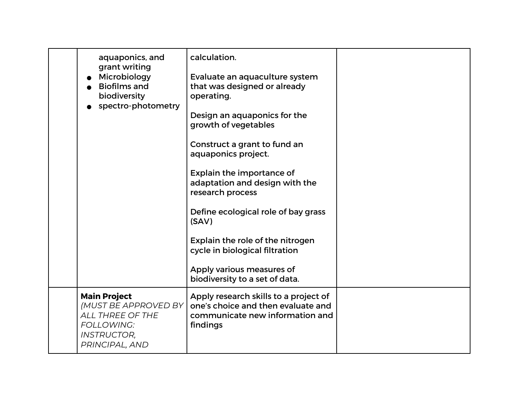| aquaponics, and<br>grant writing<br>Microbiology<br><b>Biofilms and</b><br>biodiversity<br>spectro-photometry                       | calculation.<br>Evaluate an aquaculture system<br>that was designed or already<br>operating.<br>Design an aquaponics for the<br>growth of vegetables<br>Construct a grant to fund an<br>aquaponics project.<br>Explain the importance of<br>adaptation and design with the<br>research process<br>Define ecological role of bay grass<br>(SAV)<br>Explain the role of the nitrogen<br>cycle in biological filtration<br>Apply various measures of |  |
|-------------------------------------------------------------------------------------------------------------------------------------|---------------------------------------------------------------------------------------------------------------------------------------------------------------------------------------------------------------------------------------------------------------------------------------------------------------------------------------------------------------------------------------------------------------------------------------------------|--|
|                                                                                                                                     | biodiversity to a set of data.                                                                                                                                                                                                                                                                                                                                                                                                                    |  |
| <b>Main Project</b><br><b>(MUST BE APPROVED BY</b><br>ALL THREE OF THE<br><b>FOLLOWING:</b><br><b>INSTRUCTOR,</b><br>PRINCIPAL, AND | Apply research skills to a project of<br>one's choice and then evaluate and<br>communicate new information and<br>findings                                                                                                                                                                                                                                                                                                                        |  |